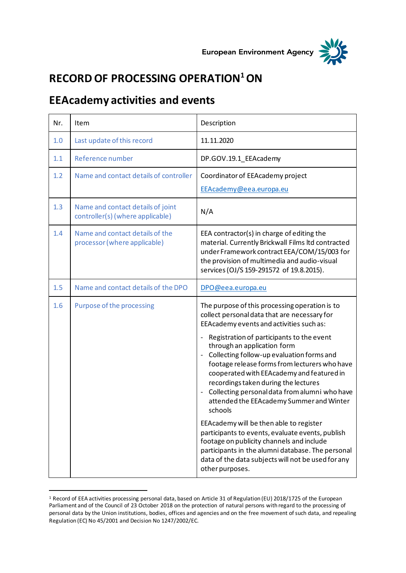



## **RECORD OF PROCESSING OPERATION<sup>1</sup>ON**

## **EEAcademy activities and events**

| Nr. | Item                                                                  | Description                                                                                                                                                                                                                                                                                                                                                                                                                                                                                                                                                                                                                                                                                                                                                                                                               |
|-----|-----------------------------------------------------------------------|---------------------------------------------------------------------------------------------------------------------------------------------------------------------------------------------------------------------------------------------------------------------------------------------------------------------------------------------------------------------------------------------------------------------------------------------------------------------------------------------------------------------------------------------------------------------------------------------------------------------------------------------------------------------------------------------------------------------------------------------------------------------------------------------------------------------------|
| 1.0 | Last update of this record                                            | 11.11.2020                                                                                                                                                                                                                                                                                                                                                                                                                                                                                                                                                                                                                                                                                                                                                                                                                |
| 1.1 | Reference number                                                      | DP.GOV.19.1_EEAcademy                                                                                                                                                                                                                                                                                                                                                                                                                                                                                                                                                                                                                                                                                                                                                                                                     |
| 1.2 | Name and contact details of controller                                | Coordinator of EEAcademy project<br>EEAcademy@eea.europa.eu                                                                                                                                                                                                                                                                                                                                                                                                                                                                                                                                                                                                                                                                                                                                                               |
| 1.3 | Name and contact details of joint<br>controller(s) (where applicable) | N/A                                                                                                                                                                                                                                                                                                                                                                                                                                                                                                                                                                                                                                                                                                                                                                                                                       |
| 1.4 | Name and contact details of the<br>processor (where applicable)       | EEA contractor(s) in charge of editing the<br>material. Currently Brickwall Films Itd contracted<br>under Framework contract EEA/COM/15/003 for<br>the provision of multimedia and audio-visual<br>services (OJ/S 159-291572 of 19.8.2015).                                                                                                                                                                                                                                                                                                                                                                                                                                                                                                                                                                               |
| 1.5 | Name and contact details of the DPO                                   | DPO@eea.europa.eu                                                                                                                                                                                                                                                                                                                                                                                                                                                                                                                                                                                                                                                                                                                                                                                                         |
| 1.6 | Purpose of the processing                                             | The purpose of this processing operation is to<br>collect personal data that are necessary for<br>EEAcademy events and activities such as:<br>Registration of participants to the event<br>$\overline{\phantom{a}}$<br>through an application form<br>Collecting follow-up evaluation forms and<br>footage release forms from lecturers who have<br>cooperated with EEA cademy and featured in<br>recordings taken during the lectures<br>Collecting personal data from alumni who have<br>attended the EEA cademy Summer and Winter<br>schools<br>EEAcademy will be then able to register<br>participants to events, evaluate events, publish<br>footage on publicity channels and include<br>participants in the alumni database. The personal<br>data of the data subjects will not be used for any<br>other purposes. |

<sup>1</sup> Record of EEA activities processing personal data, based on Article 31 of Regulation (EU) 2018/1725 of the European Parliament and of the Council of 23 October 2018 on the protection of natural persons with regard to the processing of personal data by the Union institutions, bodies, offices and agencies and on the free movement of such data, and repealing Regulation (EC) No 45/2001 and Decision No 1247/2002/EC.